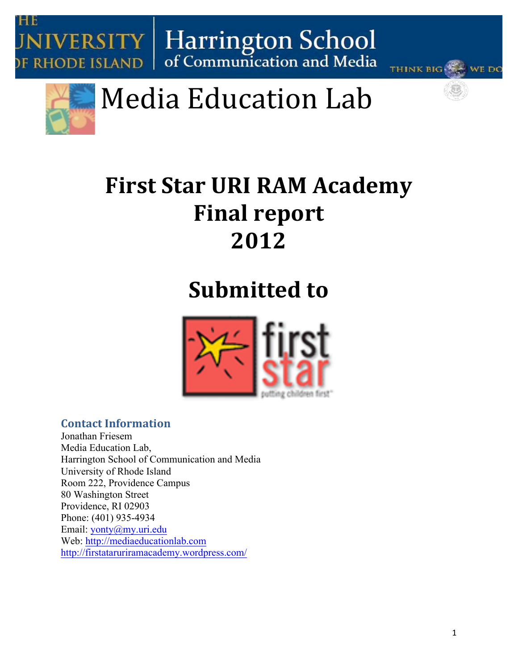





# Media Education Lab

### **First Star URI RAM Academy Final report 2012**

## **Submitted to**



#### **Contact Information**

Jonathan Friesem Media Education Lab, Harrington School of Communication and Media University of Rhode Island Room 222, Providence Campus 80 Washington Street Providence, RI 02903 Phone: (401) 935-4934 Email: yonty@my.uri.edu Web: http://mediaeducationlab.com http://firstataruriramacademy.wordpress.com/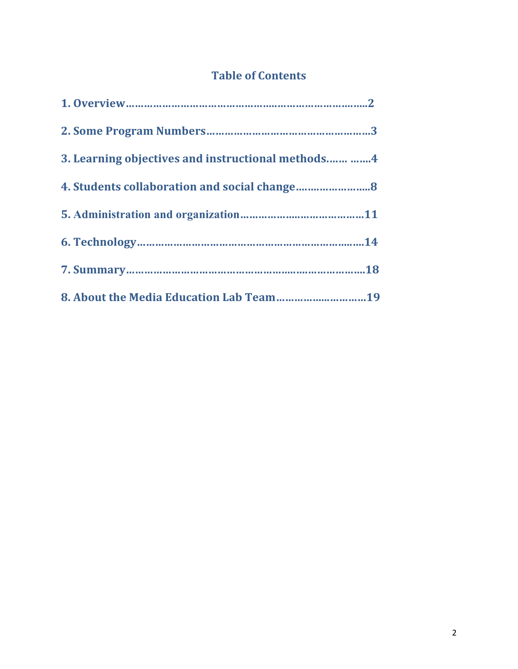### **Table of Contents**

| 3. Learning objectives and instructional methods  4 |
|-----------------------------------------------------|
|                                                     |
|                                                     |
|                                                     |
|                                                     |
| 8. About the Media Education Lab Team19             |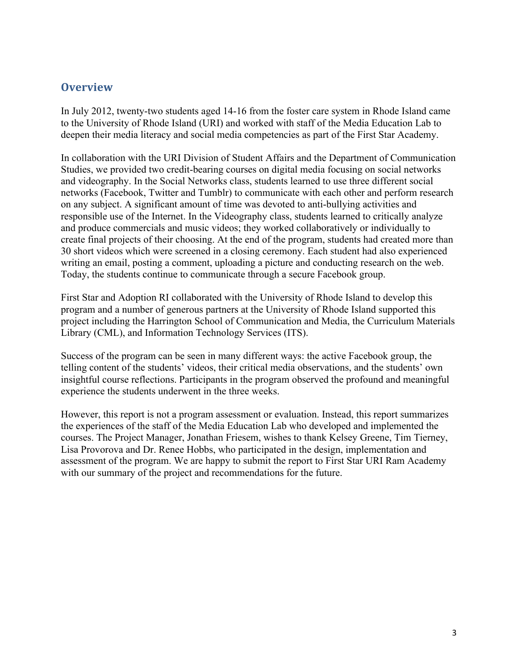#### **Overview&**

In July 2012, twenty-two students aged 14-16 from the foster care system in Rhode Island came to the University of Rhode Island (URI) and worked with staff of the Media Education Lab to deepen their media literacy and social media competencies as part of the First Star Academy.

In collaboration with the URI Division of Student Affairs and the Department of Communication Studies, we provided two credit-bearing courses on digital media focusing on social networks and videography. In the Social Networks class, students learned to use three different social networks (Facebook, Twitter and Tumblr) to communicate with each other and perform research on any subject. A significant amount of time was devoted to anti-bullying activities and responsible use of the Internet. In the Videography class, students learned to critically analyze and produce commercials and music videos; they worked collaboratively or individually to create final projects of their choosing. At the end of the program, students had created more than 30 short videos which were screened in a closing ceremony. Each student had also experienced writing an email, posting a comment, uploading a picture and conducting research on the web. Today, the students continue to communicate through a secure Facebook group.

First Star and Adoption RI collaborated with the University of Rhode Island to develop this program and a number of generous partners at the University of Rhode Island supported this project including the Harrington School of Communication and Media, the Curriculum Materials Library (CML), and Information Technology Services (ITS).

Success of the program can be seen in many different ways: the active Facebook group, the telling content of the students' videos, their critical media observations, and the students' own insightful course reflections. Participants in the program observed the profound and meaningful experience the students underwent in the three weeks.

However, this report is not a program assessment or evaluation. Instead, this report summarizes the experiences of the staff of the Media Education Lab who developed and implemented the courses. The Project Manager, Jonathan Friesem, wishes to thank Kelsey Greene, Tim Tierney, Lisa Provorova and Dr. Renee Hobbs, who participated in the design, implementation and assessment of the program. We are happy to submit the report to First Star URI Ram Academy with our summary of the project and recommendations for the future.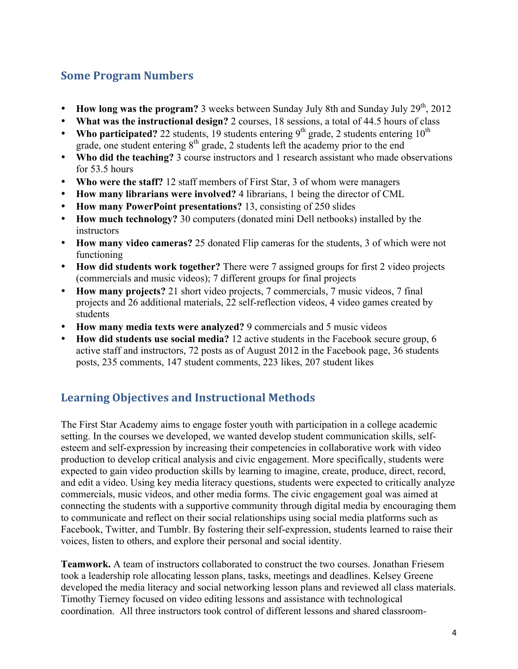#### **Some Program Numbers**

- **How long was the program?** 3 weeks between Sunday July 8th and Sunday July  $29<sup>th</sup>$ ,  $2012$
- **What was the instructional design?** 2 courses, 18 sessions, a total of 44.5 hours of class
- **Who participated?** 22 students, 19 students entering 9<sup>th</sup> grade, 2 students entering  $10^{th}$ grade, one student entering  $8<sup>th</sup>$  grade, 2 students left the academy prior to the end
- Who did the teaching? 3 course instructors and 1 research assistant who made observations for 53.5 hours
- **Who were the staff?** 12 staff members of First Star, 3 of whom were managers
- **How many librarians were involved?** 4 librarians, 1 being the director of CML
- **How many PowerPoint presentations?** 13, consisting of 250 slides
- **How much technology?** 30 computers (donated mini Dell netbooks) installed by the instructors
- **How many video cameras?** 25 donated Flip cameras for the students, 3 of which were not functioning
- **How did students work together?** There were 7 assigned groups for first 2 video projects (commercials and music videos); 7 different groups for final projects
- **How many projects?** 21 short video projects, 7 commercials, 7 music videos, 7 final projects and 26 additional materials, 22 self-reflection videos, 4 video games created by students
- **How many media texts were analyzed?** 9 commercials and 5 music videos
- **How did students use social media?** 12 active students in the Facebook secure group, 6 active staff and instructors, 72 posts as of August 2012 in the Facebook page, 36 students posts, 235 comments, 147 student comments, 223 likes, 207 student likes

#### **Learning Objectives and Instructional Methods**

The First Star Academy aims to engage foster youth with participation in a college academic setting. In the courses we developed, we wanted develop student communication skills, selfesteem and self-expression by increasing their competencies in collaborative work with video production to develop critical analysis and civic engagement. More specifically, students were expected to gain video production skills by learning to imagine, create, produce, direct, record, and edit a video. Using key media literacy questions, students were expected to critically analyze commercials, music videos, and other media forms. The civic engagement goal was aimed at connecting the students with a supportive community through digital media by encouraging them to communicate and reflect on their social relationships using social media platforms such as Facebook, Twitter, and Tumblr. By fostering their self-expression, students learned to raise their voices, listen to others, and explore their personal and social identity.

**Teamwork.** A team of instructors collaborated to construct the two courses. Jonathan Friesem took a leadership role allocating lesson plans, tasks, meetings and deadlines. Kelsey Greene developed the media literacy and social networking lesson plans and reviewed all class materials. Timothy Tierney focused on video editing lessons and assistance with technological coordination. All three instructors took control of different lessons and shared classroom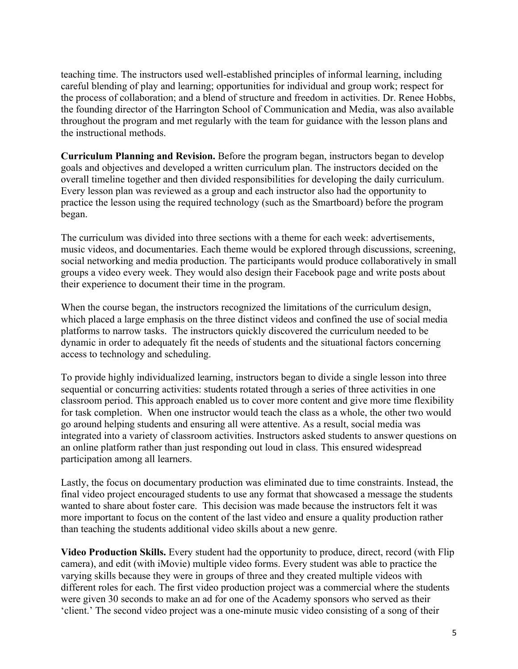teaching time. The instructors used well-established principles of informal learning, including careful blending of play and learning; opportunities for individual and group work; respect for the process of collaboration; and a blend of structure and freedom in activities. Dr. Renee Hobbs, the founding director of the Harrington School of Communication and Media, was also available throughout the program and met regularly with the team for guidance with the lesson plans and the instructional methods.

**Curriculum Planning and Revision.** Before the program began, instructors began to develop goals and objectives and developed a written curriculum plan. The instructors decided on the overall timeline together and then divided responsibilities for developing the daily curriculum. Every lesson plan was reviewed as a group and each instructor also had the opportunity to practice the lesson using the required technology (such as the Smartboard) before the program began.

The curriculum was divided into three sections with a theme for each week: advertisements, music videos, and documentaries. Each theme would be explored through discussions, screening, social networking and media production. The participants would produce collaboratively in small groups a video every week. They would also design their Facebook page and write posts about their experience to document their time in the program.

When the course began, the instructors recognized the limitations of the curriculum design, which placed a large emphasis on the three distinct videos and confined the use of social media platforms to narrow tasks. The instructors quickly discovered the curriculum needed to be dynamic in order to adequately fit the needs of students and the situational factors concerning access to technology and scheduling.

To provide highly individualized learning, instructors began to divide a single lesson into three sequential or concurring activities: students rotated through a series of three activities in one classroom period. This approach enabled us to cover more content and give more time flexibility for task completion. When one instructor would teach the class as a whole, the other two would go around helping students and ensuring all were attentive. As a result, social media was integrated into a variety of classroom activities. Instructors asked students to answer questions on an online platform rather than just responding out loud in class. This ensured widespread participation among all learners.

Lastly, the focus on documentary production was eliminated due to time constraints. Instead, the final video project encouraged students to use any format that showcased a message the students wanted to share about foster care. This decision was made because the instructors felt it was more important to focus on the content of the last video and ensure a quality production rather than teaching the students additional video skills about a new genre.

**Video Production Skills.** Every student had the opportunity to produce, direct, record (with Flip camera), and edit (with iMovie) multiple video forms. Every student was able to practice the varying skills because they were in groups of three and they created multiple videos with different roles for each. The first video production project was a commercial where the students were given 30 seconds to make an ad for one of the Academy sponsors who served as their 'client.' The second video project was a one-minute music video consisting of a song of their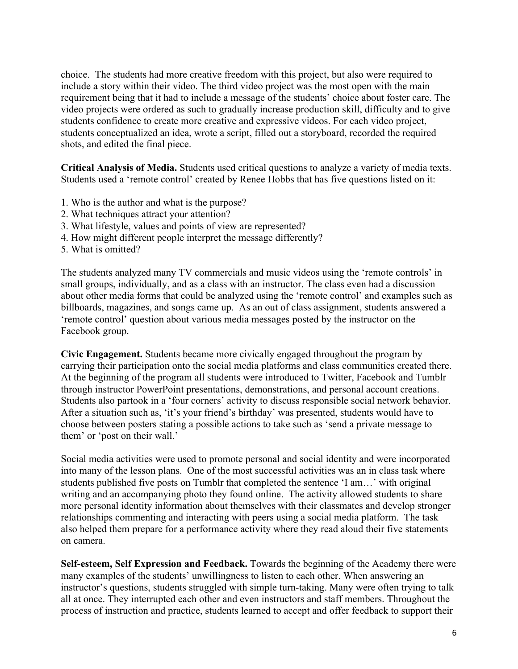choice. The students had more creative freedom with this project, but also were required to include a story within their video. The third video project was the most open with the main requirement being that it had to include a message of the students' choice about foster care. The video projects were ordered as such to gradually increase production skill, difficulty and to give students confidence to create more creative and expressive videos. For each video project, students conceptualized an idea, wrote a script, filled out a storyboard, recorded the required shots, and edited the final piece.

**Critical Analysis of Media.** Students used critical questions to analyze a variety of media texts. Students used a 'remote control' created by Renee Hobbs that has five questions listed on it:

- 1. Who is the author and what is the purpose?
- 2. What techniques attract your attention?
- 3. What lifestyle, values and points of view are represented?
- 4. How might different people interpret the message differently?
- 5. What is omitted?

The students analyzed many TV commercials and music videos using the 'remote controls' in small groups, individually, and as a class with an instructor. The class even had a discussion about other media forms that could be analyzed using the 'remote control' and examples such as billboards, magazines, and songs came up. As an out of class assignment, students answered a 'remote control' question about various media messages posted by the instructor on the Facebook group.

**Civic Engagement.** Students became more civically engaged throughout the program by carrying their participation onto the social media platforms and class communities created there. At the beginning of the program all students were introduced to Twitter, Facebook and Tumblr through instructor PowerPoint presentations, demonstrations, and personal account creations. Students also partook in a 'four corners' activity to discuss responsible social network behavior. After a situation such as, 'it's your friend's birthday' was presented, students would have to choose between posters stating a possible actions to take such as 'send a private message to them' or 'post on their wall.'

Social media activities were used to promote personal and social identity and were incorporated into many of the lesson plans. One of the most successful activities was an in class task where students published five posts on Tumblr that completed the sentence 'I am…' with original writing and an accompanying photo they found online. The activity allowed students to share more personal identity information about themselves with their classmates and develop stronger relationships commenting and interacting with peers using a social media platform. The task also helped them prepare for a performance activity where they read aloud their five statements on camera.

**Self-esteem, Self Expression and Feedback.** Towards the beginning of the Academy there were many examples of the students' unwillingness to listen to each other. When answering an instructor's questions, students struggled with simple turn-taking. Many were often trying to talk all at once. They interrupted each other and even instructors and staff members. Throughout the process of instruction and practice, students learned to accept and offer feedback to support their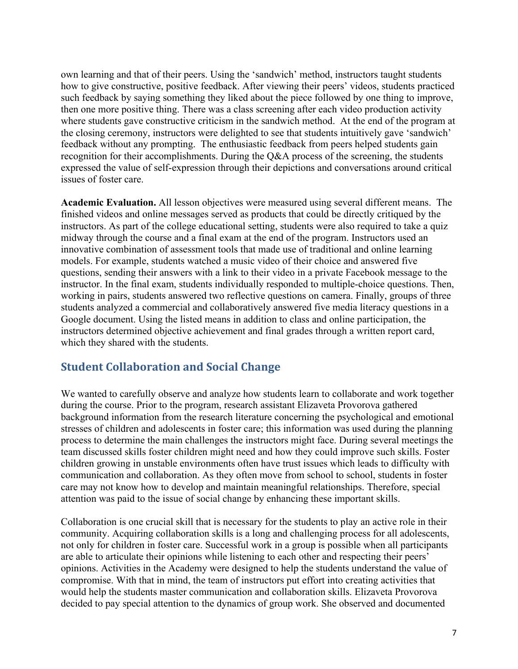own learning and that of their peers. Using the 'sandwich' method, instructors taught students how to give constructive, positive feedback. After viewing their peers' videos, students practiced such feedback by saying something they liked about the piece followed by one thing to improve, then one more positive thing. There was a class screening after each video production activity where students gave constructive criticism in the sandwich method. At the end of the program at the closing ceremony, instructors were delighted to see that students intuitively gave 'sandwich' feedback without any prompting. The enthusiastic feedback from peers helped students gain recognition for their accomplishments. During the Q&A process of the screening, the students expressed the value of self-expression through their depictions and conversations around critical issues of foster care.

**Academic Evaluation.** All lesson objectives were measured using several different means. The finished videos and online messages served as products that could be directly critiqued by the instructors. As part of the college educational setting, students were also required to take a quiz midway through the course and a final exam at the end of the program. Instructors used an innovative combination of assessment tools that made use of traditional and online learning models. For example, students watched a music video of their choice and answered five questions, sending their answers with a link to their video in a private Facebook message to the instructor. In the final exam, students individually responded to multiple-choice questions. Then, working in pairs, students answered two reflective questions on camera. Finally, groups of three students analyzed a commercial and collaboratively answered five media literacy questions in a Google document. Using the listed means in addition to class and online participation, the instructors determined objective achievement and final grades through a written report card, which they shared with the students.

#### **Student Collaboration and Social Change**

We wanted to carefully observe and analyze how students learn to collaborate and work together during the course. Prior to the program, research assistant Elizaveta Provorova gathered background information from the research literature concerning the psychological and emotional stresses of children and adolescents in foster care; this information was used during the planning process to determine the main challenges the instructors might face. During several meetings the team discussed skills foster children might need and how they could improve such skills. Foster children growing in unstable environments often have trust issues which leads to difficulty with communication and collaboration. As they often move from school to school, students in foster care may not know how to develop and maintain meaningful relationships. Therefore, special attention was paid to the issue of social change by enhancing these important skills.

Collaboration is one crucial skill that is necessary for the students to play an active role in their community. Acquiring collaboration skills is a long and challenging process for all adolescents, not only for children in foster care. Successful work in a group is possible when all participants are able to articulate their opinions while listening to each other and respecting their peers' opinions. Activities in the Academy were designed to help the students understand the value of compromise. With that in mind, the team of instructors put effort into creating activities that would help the students master communication and collaboration skills. Elizaveta Provorova decided to pay special attention to the dynamics of group work. She observed and documented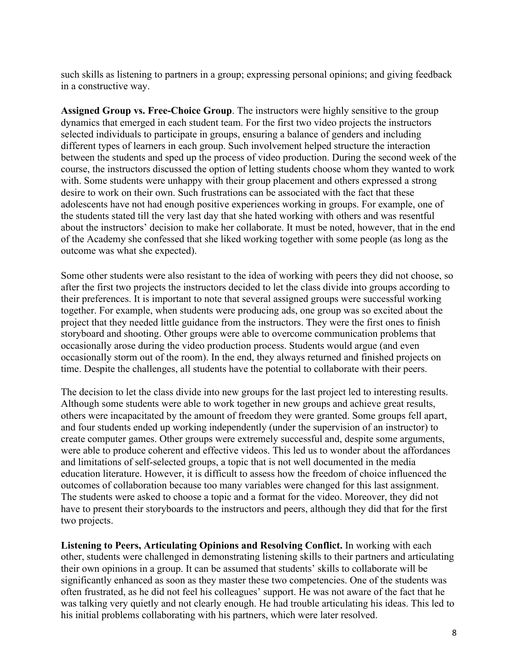such skills as listening to partners in a group; expressing personal opinions; and giving feedback in a constructive way.

**Assigned Group vs. Free-Choice Group**. The instructors were highly sensitive to the group dynamics that emerged in each student team. For the first two video projects the instructors selected individuals to participate in groups, ensuring a balance of genders and including different types of learners in each group. Such involvement helped structure the interaction between the students and sped up the process of video production. During the second week of the course, the instructors discussed the option of letting students choose whom they wanted to work with. Some students were unhappy with their group placement and others expressed a strong desire to work on their own. Such frustrations can be associated with the fact that these adolescents have not had enough positive experiences working in groups. For example, one of the students stated till the very last day that she hated working with others and was resentful about the instructors' decision to make her collaborate. It must be noted, however, that in the end of the Academy she confessed that she liked working together with some people (as long as the outcome was what she expected).

Some other students were also resistant to the idea of working with peers they did not choose, so after the first two projects the instructors decided to let the class divide into groups according to their preferences. It is important to note that several assigned groups were successful working together. For example, when students were producing ads, one group was so excited about the project that they needed little guidance from the instructors. They were the first ones to finish storyboard and shooting. Other groups were able to overcome communication problems that occasionally arose during the video production process. Students would argue (and even occasionally storm out of the room). In the end, they always returned and finished projects on time. Despite the challenges, all students have the potential to collaborate with their peers.

The decision to let the class divide into new groups for the last project led to interesting results. Although some students were able to work together in new groups and achieve great results, others were incapacitated by the amount of freedom they were granted. Some groups fell apart, and four students ended up working independently (under the supervision of an instructor) to create computer games. Other groups were extremely successful and, despite some arguments, were able to produce coherent and effective videos. This led us to wonder about the affordances and limitations of self-selected groups, a topic that is not well documented in the media education literature. However, it is difficult to assess how the freedom of choice influenced the outcomes of collaboration because too many variables were changed for this last assignment. The students were asked to choose a topic and a format for the video. Moreover, they did not have to present their storyboards to the instructors and peers, although they did that for the first two projects.

**Listening to Peers, Articulating Opinions and Resolving Conflict.** In working with each other, students were challenged in demonstrating listening skills to their partners and articulating their own opinions in a group. It can be assumed that students' skills to collaborate will be significantly enhanced as soon as they master these two competencies. One of the students was often frustrated, as he did not feel his colleagues' support. He was not aware of the fact that he was talking very quietly and not clearly enough. He had trouble articulating his ideas. This led to his initial problems collaborating with his partners, which were later resolved.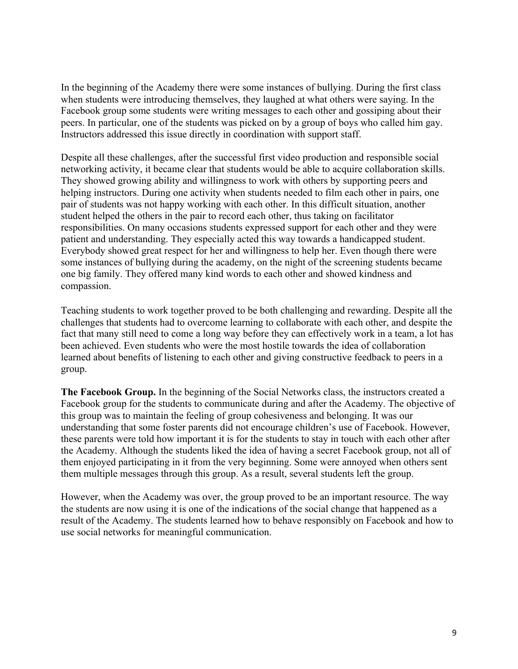In the beginning of the Academy there were some instances of bullying. During the first class when students were introducing themselves, they laughed at what others were saying. In the Facebook group some students were writing messages to each other and gossiping about their peers. In particular, one of the students was picked on by a group of boys who called him gay. Instructors addressed this issue directly in coordination with support staff.

Despite all these challenges, after the successful first video production and responsible social networking activity, it became clear that students would be able to acquire collaboration skills. They showed growing ability and willingness to work with others by supporting peers and helping instructors. During one activity when students needed to film each other in pairs, one pair of students was not happy working with each other. In this difficult situation, another student helped the others in the pair to record each other, thus taking on facilitator responsibilities. On many occasions students expressed support for each other and they were patient and understanding. They especially acted this way towards a handicapped student. Everybody showed great respect for her and willingness to help her. Even though there were some instances of bullying during the academy, on the night of the screening students became one big family. They offered many kind words to each other and showed kindness and compassion.

Teaching students to work together proved to be both challenging and rewarding. Despite all the challenges that students had to overcome learning to collaborate with each other, and despite the fact that many still need to come a long way before they can effectively work in a team, a lot has been achieved. Even students who were the most hostile towards the idea of collaboration learned about benefits of listening to each other and giving constructive feedback to peers in a group.

**The Facebook Group.** In the beginning of the Social Networks class, the instructors created a Facebook group for the students to communicate during and after the Academy. The objective of this group was to maintain the feeling of group cohesiveness and belonging. It was our understanding that some foster parents did not encourage children's use of Facebook. However, these parents were told how important it is for the students to stay in touch with each other after the Academy. Although the students liked the idea of having a secret Facebook group, not all of them enjoyed participating in it from the very beginning. Some were annoyed when others sent them multiple messages through this group. As a result, several students left the group.

However, when the Academy was over, the group proved to be an important resource. The way the students are now using it is one of the indications of the social change that happened as a result of the Academy. The students learned how to behave responsibly on Facebook and how to use social networks for meaningful communication.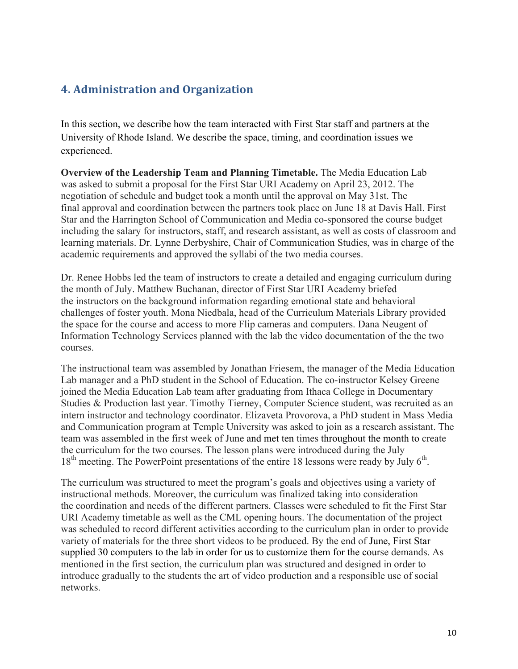#### **4. Administration and Organization**

In this section, we describe how the team interacted with First Star staff and partners at the University of Rhode Island. We describe the space, timing, and coordination issues we experienced.

**Overview of the Leadership Team and Planning Timetable.** The Media Education Lab was asked to submit a proposal for the First Star URI Academy on April 23, 2012. The negotiation of schedule and budget took a month until the approval on May 31st. The final approval and coordination between the partners took place on June 18 at Davis Hall. First Star and the Harrington School of Communication and Media co-sponsored the course budget including the salary for instructors, staff, and research assistant, as well as costs of classroom and learning materials. Dr. Lynne Derbyshire, Chair of Communication Studies, was in charge of the academic requirements and approved the syllabi of the two media courses.

Dr. Renee Hobbs led the team of instructors to create a detailed and engaging curriculum during the month of July. Matthew Buchanan, director of First Star URI Academy briefed the instructors on the background information regarding emotional state and behavioral challenges of foster youth. Mona Niedbala, head of the Curriculum Materials Library provided the space for the course and access to more Flip cameras and computers. Dana Neugent of Information Technology Services planned with the lab the video documentation of the the two courses.

The instructional team was assembled by Jonathan Friesem, the manager of the Media Education Lab manager and a PhD student in the School of Education. The co-instructor Kelsey Greene joined the Media Education Lab team after graduating from Ithaca College in Documentary Studies & Production last year. Timothy Tierney, Computer Science student, was recruited as an intern instructor and technology coordinator. Elizaveta Provorova, a PhD student in Mass Media and Communication program at Temple University was asked to join as a research assistant. The team was assembled in the first week of June and met ten times throughout the month to create the curriculum for the two courses. The lesson plans were introduced during the July 18<sup>th</sup> meeting. The PowerPoint presentations of the entire 18 lessons were ready by July 6<sup>th</sup>.

The curriculum was structured to meet the program's goals and objectives using a variety of instructional methods. Moreover, the curriculum was finalized taking into consideration the coordination and needs of the different partners. Classes were scheduled to fit the First Star URI Academy timetable as well as the CML opening hours. The documentation of the project was scheduled to record different activities according to the curriculum plan in order to provide variety of materials for the three short videos to be produced. By the end of June, First Star supplied 30 computers to the lab in order for us to customize them for the course demands. As mentioned in the first section, the curriculum plan was structured and designed in order to introduce gradually to the students the art of video production and a responsible use of social networks.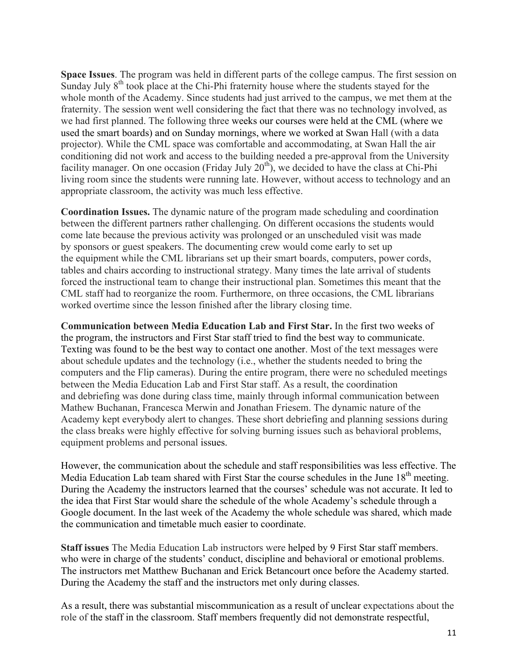**Space Issues**. The program was held in different parts of the college campus. The first session on Sunday July 8<sup>th</sup> took place at the Chi-Phi fraternity house where the students stayed for the whole month of the Academy. Since students had just arrived to the campus, we met them at the fraternity. The session went well considering the fact that there was no technology involved, as we had first planned. The following three weeks our courses were held at the CML (where we used the smart boards) and on Sunday mornings, where we worked at Swan Hall (with a data projector). While the CML space was comfortable and accommodating, at Swan Hall the air conditioning did not work and access to the building needed a pre-approval from the University facility manager. On one occasion (Friday July  $20<sup>th</sup>$ ), we decided to have the class at Chi-Phi living room since the students were running late. However, without access to technology and an appropriate classroom, the activity was much less effective.

**Coordination Issues.** The dynamic nature of the program made scheduling and coordination between the different partners rather challenging. On different occasions the students would come late because the previous activity was prolonged or an unscheduled visit was made by sponsors or guest speakers. The documenting crew would come early to set up the equipment while the CML librarians set up their smart boards, computers, power cords, tables and chairs according to instructional strategy. Many times the late arrival of students forced the instructional team to change their instructional plan. Sometimes this meant that the CML staff had to reorganize the room. Furthermore, on three occasions, the CML librarians worked overtime since the lesson finished after the library closing time.

**Communication between Media Education Lab and First Star.** In the first two weeks of the program, the instructors and First Star staff tried to find the best way to communicate. Texting was found to be the best way to contact one another. Most of the text messages were about schedule updates and the technology (i.e., whether the students needed to bring the computers and the Flip cameras). During the entire program, there were no scheduled meetings between the Media Education Lab and First Star staff. As a result, the coordination and debriefing was done during class time, mainly through informal communication between Mathew Buchanan, Francesca Merwin and Jonathan Friesem. The dynamic nature of the Academy kept everybody alert to changes. These short debriefing and planning sessions during the class breaks were highly effective for solving burning issues such as behavioral problems, equipment problems and personal issues.

However, the communication about the schedule and staff responsibilities was less effective. The Media Education Lab team shared with First Star the course schedules in the June  $18<sup>th</sup>$  meeting. During the Academy the instructors learned that the courses' schedule was not accurate. It led to the idea that First Star would share the schedule of the whole Academy's schedule through a Google document. In the last week of the Academy the whole schedule was shared, which made the communication and timetable much easier to coordinate.

**Staff issues** The Media Education Lab instructors were helped by 9 First Star staff members. who were in charge of the students' conduct, discipline and behavioral or emotional problems. The instructors met Matthew Buchanan and Erick Betancourt once before the Academy started. During the Academy the staff and the instructors met only during classes.

As a result, there was substantial miscommunication as a result of unclear expectations about the role of the staff in the classroom. Staff members frequently did not demonstrate respectful,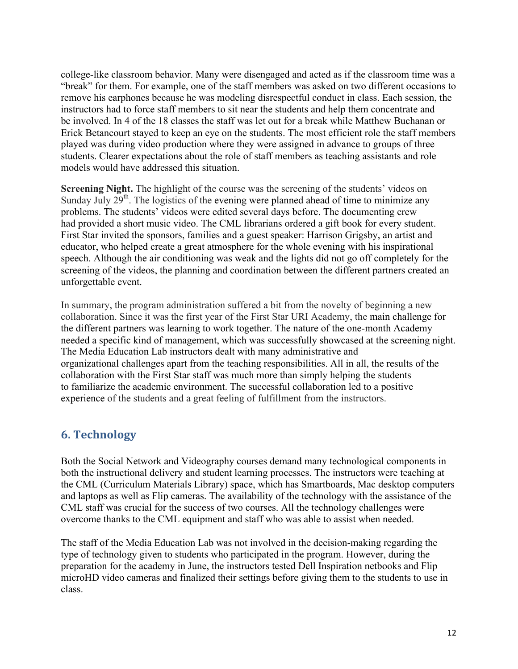college-like classroom behavior. Many were disengaged and acted as if the classroom time was a "break" for them. For example, one of the staff members was asked on two different occasions to remove his earphones because he was modeling disrespectful conduct in class. Each session, the instructors had to force staff members to sit near the students and help them concentrate and be involved. In 4 of the 18 classes the staff was let out for a break while Matthew Buchanan or Erick Betancourt stayed to keep an eye on the students. The most efficient role the staff members played was during video production where they were assigned in advance to groups of three students. Clearer expectations about the role of staff members as teaching assistants and role models would have addressed this situation.

**Screening Night.** The highlight of the course was the screening of the students' videos on Sunday July  $29<sup>th</sup>$ . The logistics of the evening were planned ahead of time to minimize any problems. The students' videos were edited several days before. The documenting crew had provided a short music video. The CML librarians ordered a gift book for every student. First Star invited the sponsors, families and a guest speaker: Harrison Grigsby, an artist and educator, who helped create a great atmosphere for the whole evening with his inspirational speech. Although the air conditioning was weak and the lights did not go off completely for the screening of the videos, the planning and coordination between the different partners created an unforgettable event.

In summary, the program administration suffered a bit from the novelty of beginning a new collaboration. Since it was the first year of the First Star URI Academy, the main challenge for the different partners was learning to work together. The nature of the one-month Academy needed a specific kind of management, which was successfully showcased at the screening night. The Media Education Lab instructors dealt with many administrative and organizational challenges apart from the teaching responsibilities. All in all, the results of the collaboration with the First Star staff was much more than simply helping the students to familiarize the academic environment. The successful collaboration led to a positive experience of the students and a great feeling of fulfillment from the instructors.

#### **6. Technology**

Both the Social Network and Videography courses demand many technological components in both the instructional delivery and student learning processes. The instructors were teaching at the CML (Curriculum Materials Library) space, which has Smartboards, Mac desktop computers and laptops as well as Flip cameras. The availability of the technology with the assistance of the CML staff was crucial for the success of two courses. All the technology challenges were overcome thanks to the CML equipment and staff who was able to assist when needed.

The staff of the Media Education Lab was not involved in the decision-making regarding the type of technology given to students who participated in the program. However, during the preparation for the academy in June, the instructors tested Dell Inspiration netbooks and Flip microHD video cameras and finalized their settings before giving them to the students to use in class.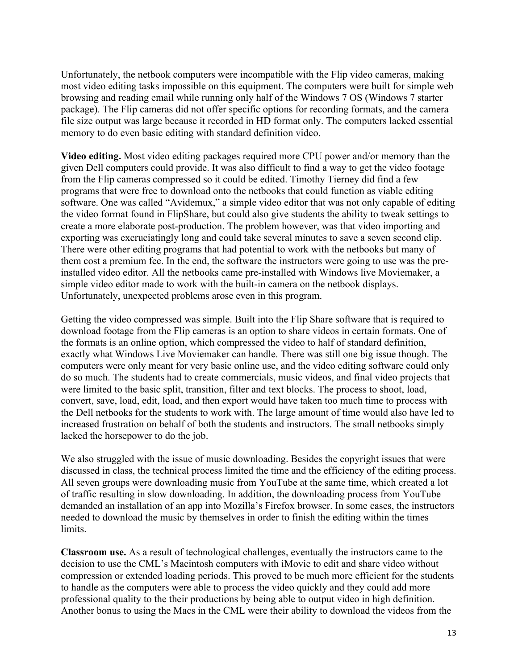Unfortunately, the netbook computers were incompatible with the Flip video cameras, making most video editing tasks impossible on this equipment. The computers were built for simple web browsing and reading email while running only half of the Windows 7 OS (Windows 7 starter package). The Flip cameras did not offer specific options for recording formats, and the camera file size output was large because it recorded in HD format only. The computers lacked essential memory to do even basic editing with standard definition video.

**Video editing.** Most video editing packages required more CPU power and/or memory than the given Dell computers could provide. It was also difficult to find a way to get the video footage from the Flip cameras compressed so it could be edited. Timothy Tierney did find a few programs that were free to download onto the netbooks that could function as viable editing software. One was called "Avidemux," a simple video editor that was not only capable of editing the video format found in FlipShare, but could also give students the ability to tweak settings to create a more elaborate post-production. The problem however, was that video importing and exporting was excruciatingly long and could take several minutes to save a seven second clip. There were other editing programs that had potential to work with the netbooks but many of them cost a premium fee. In the end, the software the instructors were going to use was the preinstalled video editor. All the netbooks came pre-installed with Windows live Moviemaker, a simple video editor made to work with the built-in camera on the netbook displays. Unfortunately, unexpected problems arose even in this program.

Getting the video compressed was simple. Built into the Flip Share software that is required to download footage from the Flip cameras is an option to share videos in certain formats. One of the formats is an online option, which compressed the video to half of standard definition, exactly what Windows Live Moviemaker can handle. There was still one big issue though. The computers were only meant for very basic online use, and the video editing software could only do so much. The students had to create commercials, music videos, and final video projects that were limited to the basic split, transition, filter and text blocks. The process to shoot, load, convert, save, load, edit, load, and then export would have taken too much time to process with the Dell netbooks for the students to work with. The large amount of time would also have led to increased frustration on behalf of both the students and instructors. The small netbooks simply lacked the horsepower to do the job.

We also struggled with the issue of music downloading. Besides the copyright issues that were discussed in class, the technical process limited the time and the efficiency of the editing process. All seven groups were downloading music from YouTube at the same time, which created a lot of traffic resulting in slow downloading. In addition, the downloading process from YouTube demanded an installation of an app into Mozilla's Firefox browser. In some cases, the instructors needed to download the music by themselves in order to finish the editing within the times limits.

**Classroom use.** As a result of technological challenges, eventually the instructors came to the decision to use the CML's Macintosh computers with iMovie to edit and share video without compression or extended loading periods. This proved to be much more efficient for the students to handle as the computers were able to process the video quickly and they could add more professional quality to the their productions by being able to output video in high definition. Another bonus to using the Macs in the CML were their ability to download the videos from the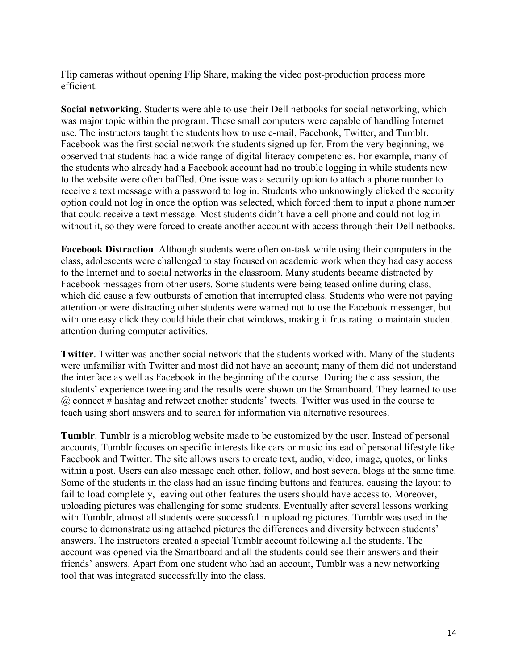Flip cameras without opening Flip Share, making the video post-production process more efficient.

**Social networking**. Students were able to use their Dell netbooks for social networking, which was major topic within the program. These small computers were capable of handling Internet use. The instructors taught the students how to use e-mail, Facebook, Twitter, and Tumblr. Facebook was the first social network the students signed up for. From the very beginning, we observed that students had a wide range of digital literacy competencies. For example, many of the students who already had a Facebook account had no trouble logging in while students new to the website were often baffled. One issue was a security option to attach a phone number to receive a text message with a password to log in. Students who unknowingly clicked the security option could not log in once the option was selected, which forced them to input a phone number that could receive a text message. Most students didn't have a cell phone and could not log in without it, so they were forced to create another account with access through their Dell netbooks.

**Facebook Distraction**. Although students were often on-task while using their computers in the class, adolescents were challenged to stay focused on academic work when they had easy access to the Internet and to social networks in the classroom. Many students became distracted by Facebook messages from other users. Some students were being teased online during class, which did cause a few outbursts of emotion that interrupted class. Students who were not paying attention or were distracting other students were warned not to use the Facebook messenger, but with one easy click they could hide their chat windows, making it frustrating to maintain student attention during computer activities.

**Twitter**. Twitter was another social network that the students worked with. Many of the students were unfamiliar with Twitter and most did not have an account; many of them did not understand the interface as well as Facebook in the beginning of the course. During the class session, the students' experience tweeting and the results were shown on the Smartboard. They learned to use @ connect # hashtag and retweet another students' tweets. Twitter was used in the course to teach using short answers and to search for information via alternative resources.

**Tumblr**. Tumblr is a microblog website made to be customized by the user. Instead of personal accounts, Tumblr focuses on specific interests like cars or music instead of personal lifestyle like Facebook and Twitter. The site allows users to create text, audio, video, image, quotes, or links within a post. Users can also message each other, follow, and host several blogs at the same time. Some of the students in the class had an issue finding buttons and features, causing the layout to fail to load completely, leaving out other features the users should have access to. Moreover, uploading pictures was challenging for some students. Eventually after several lessons working with Tumblr, almost all students were successful in uploading pictures. Tumblr was used in the course to demonstrate using attached pictures the differences and diversity between students' answers. The instructors created a special Tumblr account following all the students. The account was opened via the Smartboard and all the students could see their answers and their friends' answers. Apart from one student who had an account, Tumblr was a new networking tool that was integrated successfully into the class.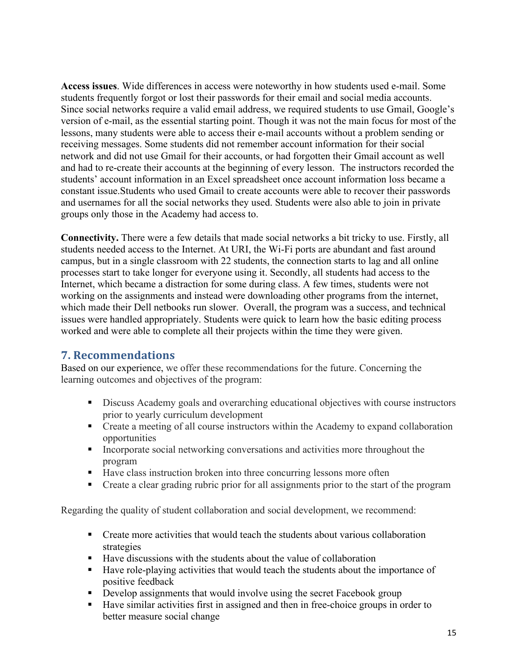**Access issues**. Wide differences in access were noteworthy in how students used e-mail. Some students frequently forgot or lost their passwords for their email and social media accounts. Since social networks require a valid email address, we required students to use Gmail, Google's version of e-mail, as the essential starting point. Though it was not the main focus for most of the lessons, many students were able to access their e-mail accounts without a problem sending or receiving messages. Some students did not remember account information for their social network and did not use Gmail for their accounts, or had forgotten their Gmail account as well and had to re-create their accounts at the beginning of every lesson. The instructors recorded the students' account information in an Excel spreadsheet once account information loss became a constant issue.Students who used Gmail to create accounts were able to recover their passwords and usernames for all the social networks they used. Students were also able to join in private groups only those in the Academy had access to.

**Connectivity.** There were a few details that made social networks a bit tricky to use. Firstly, all students needed access to the Internet. At URI, the Wi-Fi ports are abundant and fast around campus, but in a single classroom with 22 students, the connection starts to lag and all online processes start to take longer for everyone using it. Secondly, all students had access to the Internet, which became a distraction for some during class. A few times, students were not working on the assignments and instead were downloading other programs from the internet, which made their Dell netbooks run slower. Overall, the program was a success, and technical issues were handled appropriately. Students were quick to learn how the basic editing process worked and were able to complete all their projects within the time they were given.

#### **7. Recommendations**

Based on our experience, we offer these recommendations for the future. Concerning the learning outcomes and objectives of the program:

- **EXECUTE:** Discuss Academy goals and overarching educational objectives with course instructors prior to yearly curriculum development
- ! Create a meeting of all course instructors within the Academy to expand collaboration opportunities
- ! Incorporate social networking conversations and activities more throughout the program
- ! Have class instruction broken into three concurring lessons more often
- ! Create a clear grading rubric prior for all assignments prior to the start of the program

Regarding the quality of student collaboration and social development, we recommend:

- ! Create more activities that would teach the students about various collaboration strategies
- ! Have discussions with the students about the value of collaboration
- ! Have role-playing activities that would teach the students about the importance of positive feedback
- ! Develop assignments that would involve using the secret Facebook group
- ! Have similar activities first in assigned and then in free-choice groups in order to better measure social change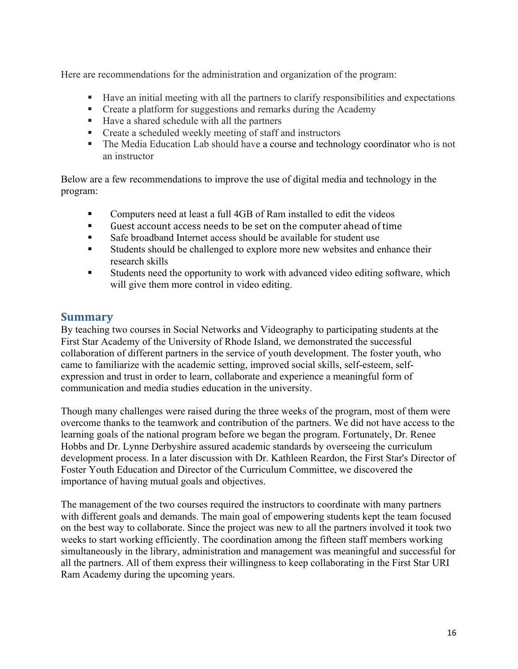Here are recommendations for the administration and organization of the program:

- ! Have an initial meeting with all the partners to clarify responsibilities and expectations
- ! Create a platform for suggestions and remarks during the Academy
- ! Have a shared schedule with all the partners
- Create a scheduled weekly meeting of staff and instructors
- ! The Media Education Lab should have a course and technology coordinator who is not an instructor

Below are a few recommendations to improve the use of digital media and technology in the program:

- ! Computers need at least a full 4GB of Ram installed to edit the videos
- Guest account access needs to be set on the computer ahead of time
- ! Safe broadband Internet access should be available for student use
- ! Students should be challenged to explore more new websites and enhance their research skills
- Students need the opportunity to work with advanced video editing software, which will give them more control in video editing.

#### **Summary**

By teaching two courses in Social Networks and Videography to participating students at the First Star Academy of the University of Rhode Island, we demonstrated the successful collaboration of different partners in the service of youth development. The foster youth, who came to familiarize with the academic setting, improved social skills, self-esteem, selfexpression and trust in order to learn, collaborate and experience a meaningful form of communication and media studies education in the university.

Though many challenges were raised during the three weeks of the program, most of them were overcome thanks to the teamwork and contribution of the partners. We did not have access to the learning goals of the national program before we began the program. Fortunately, Dr. Renee Hobbs and Dr. Lynne Derbyshire assured academic standards by overseeing the curriculum development process. In a later discussion with Dr. Kathleen Reardon, the First Star's Director of Foster Youth Education and Director of the Curriculum Committee, we discovered the importance of having mutual goals and objectives.

The management of the two courses required the instructors to coordinate with many partners with different goals and demands. The main goal of empowering students kept the team focused on the best way to collaborate. Since the project was new to all the partners involved it took two weeks to start working efficiently. The coordination among the fifteen staff members working simultaneously in the library, administration and management was meaningful and successful for all the partners. All of them express their willingness to keep collaborating in the First Star URI Ram Academy during the upcoming years.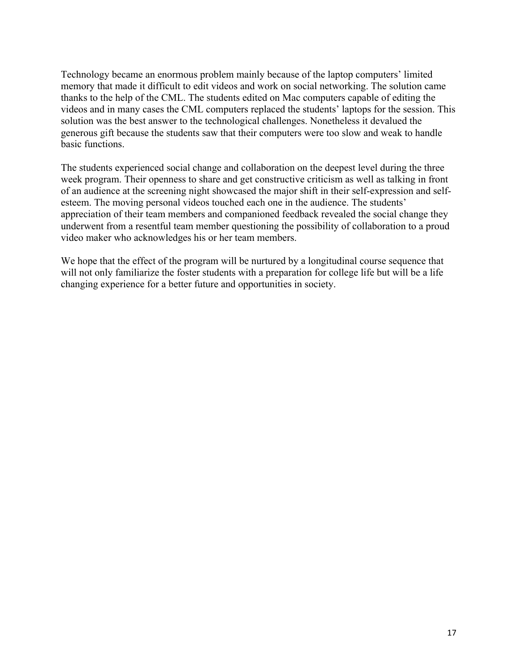Technology became an enormous problem mainly because of the laptop computers' limited memory that made it difficult to edit videos and work on social networking. The solution came thanks to the help of the CML. The students edited on Mac computers capable of editing the videos and in many cases the CML computers replaced the students' laptops for the session. This solution was the best answer to the technological challenges. Nonetheless it devalued the generous gift because the students saw that their computers were too slow and weak to handle basic functions.

The students experienced social change and collaboration on the deepest level during the three week program. Their openness to share and get constructive criticism as well as talking in front of an audience at the screening night showcased the major shift in their self-expression and selfesteem. The moving personal videos touched each one in the audience. The students' appreciation of their team members and companioned feedback revealed the social change they underwent from a resentful team member questioning the possibility of collaboration to a proud video maker who acknowledges his or her team members.

We hope that the effect of the program will be nurtured by a longitudinal course sequence that will not only familiarize the foster students with a preparation for college life but will be a life changing experience for a better future and opportunities in society.